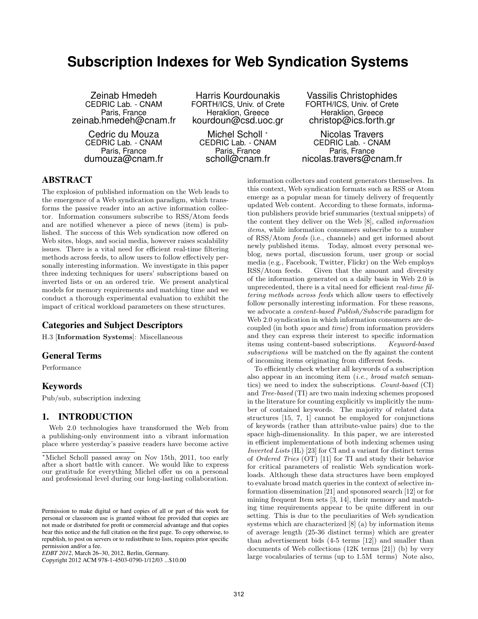# **Subscription Indexes for Web Syndication Systems**

| Zeinab Hmedeh<br><b>CEDRIC Lab. - CNAM</b><br>Paris, France<br>zeinab.hmedeh@cnam.fr |  |  |
|--------------------------------------------------------------------------------------|--|--|
| Cedric du Mouza<br><b>CEDRIC Lab. - CNAM</b><br>Paris, France<br>dumouza@cnam.fr     |  |  |

Harris Kourdounakis FORTH/ICS, Univ. of Crete Heraklion, Greece kourdoun@csd.uoc.gr

> Michel Scholl <sup>∗</sup> CEDRIC Lab. - CNAM Paris, France scholl@cnam.fr

Vassilis Christophides FORTH/ICS, Univ. of Crete Heraklion, Greece christop@ics.forth.gr

Nicolas Travers CEDRIC Lab. - CNAM Paris, France nicolas.travers@cnam.fr

# ABSTRACT

The explosion of published information on the Web leads to the emergence of a Web syndication paradigm, which transforms the passive reader into an active information collector. Information consumers subscribe to RSS/Atom feeds and are notified whenever a piece of news (item) is published. The success of this Web syndication now offered on Web sites, blogs, and social media, however raises scalability issues. There is a vital need for efficient real-time filtering methods across feeds, to allow users to follow effectively personally interesting information. We investigate in this paper three indexing techniques for users' subscriptions based on inverted lists or on an ordered trie. We present analytical models for memory requirements and matching time and we conduct a thorough experimental evaluation to exhibit the impact of critical workload parameters on these structures.

# Categories and Subject Descriptors

H.3 [Information Systems]: Miscellaneous

## General Terms

Performance

## Keywords

Pub/sub, subscription indexing

## 1. INTRODUCTION

Web 2.0 technologies have transformed the Web from a publishing-only environment into a vibrant information place where yesterday's passive readers have become active

Copyright 2012 ACM 978-1-4503-0790-1/12/03 ...\$10.00

information collectors and content generators themselves. In this context, Web syndication formats such as RSS or Atom emerge as a popular mean for timely delivery of frequently updated Web content. According to these formats, information publishers provide brief summaries (textual snippets) of the content they deliver on the Web [8], called *information items*, while information consumers subscribe to a number of RSS/Atom *feeds* (i.e., channels) and get informed about newly published items. Today, almost every personal weblog, news portal, discussion forum, user group or social media (e.g., Facebook, Twitter, Flickr) on the Web employs RSS/Atom feeds. Given that the amount and diversity of the information generated on a daily basis in Web 2.0 is unprecedented, there is a vital need for efficient *real-time filtering methods across feeds* which allow users to effectively follow personally interesting information. For these reasons, we advocate a *content-based Publish/Subscribe* paradigm for Web 2.0 syndication in which information consumers are decoupled (in both *space* and *time*) from information providers and they can express their interest to specific information items using content-based subscriptions. *Keyword-based subscriptions* will be matched on the fly against the content of incoming items originating from different feeds.

To efficiently check whether all keywords of a subscription also appear in an incoming item (*i.e.*, *broad match* semantics) we need to index the subscriptions. *Count-based* (CI) and *Tree-based* (TI) are two main indexing schemes proposed in the literature for counting explicitly vs implicitly the number of contained keywords. The majority of related data structures [15, 7, 1] cannot be employed for conjunctions of keywords (rather than attribute-value pairs) due to the space high-dimensionality. In this paper, we are interested in efficient implementations of both indexing schemes using *Inverted Lists* (IL) [23] for CI and a variant for distinct terms of *Ordered Tries* (OT) [11] for TI and study their behavior for critical parameters of realistic Web syndication workloads. Although these data structures have been employed to evaluate broad match queries in the context of selective information dissemination [21] and sponsored search [12] or for mining frequent Item sets [3, 14], their memory and matching time requirements appear to be quite different in our setting. This is due to the peculiarities of Web syndication systems which are characterized [8] (a) by information items of average length (25-36 distinct terms) which are greater than advertisement bids (4-5 terms [12]) and smaller than documents of Web collections (12K terms [21]) (b) by very large vocabularies of terms (up to 1.5M terms) Note also,

<sup>∗</sup>Michel Scholl passed away on Nov 15th, 2011, too early after a short battle with cancer. We would like to express our gratitude for everything Michel offer us on a personal and professional level during our long-lasting collaboration.

Permission to make digital or hard copies of all or part of this work for personal or classroom use is granted without fee provided that copies are not made or distributed for profit or commercial advantage and that copies bear this notice and the full citation on the first page. To copy otherwise, to republish, to post on servers or to redistribute to lists, requires prior specific permission and/or a fee.

*EDBT 2012*, March 26–30, 2012, Berlin, Germany.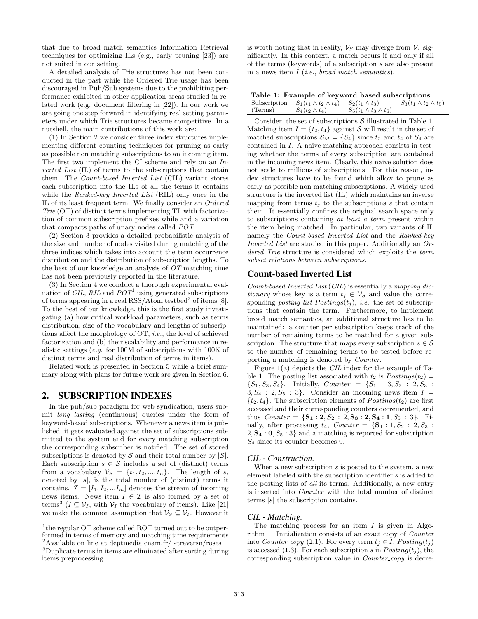that due to broad match semantics Information Retrieval techniques for optimizing ILs (e.g., early pruning [23]) are not suited in our setting.

A detailed analysis of Trie structures has not been conducted in the past while the Ordered Trie usage has been discouraged in Pub/Sub systems due to the prohibiting performance exhibited in other application areas studied in related work (e.g. document filtering in [22]). In our work we are going one step forward in identifying real setting parameters under which Trie structures became competitive. In a nutshell, the main contributions of this work are:

(1) In Section 2 we consider three index structures implementing different counting techniques for pruning as early as possible non matching subscriptions to an incoming item. The first two implement the CI scheme and rely on an *Inverted List* (IL) of terms to the subscriptions that contain them. The *Count-based Inverted List* (CIL) variant stores each subscription into the ILs of all the terms it contains while the *Ranked-key Inverted List* (RIL) only once in the IL of its least frequent term. We finally consider an *Ordered Trie* (OT) of distinct terms implementing TI with factorization of common subscription prefixes while and a variation that compacts paths of unary nodes called *POT*.

(2) Section 3 provides a detailed probabilistic analysis of the size and number of nodes visited during matching of the three indices which takes into account the term occurrence distribution and the distribution of subscription lengths. To the best of our knowledge an analysis of *OT* matching time has not been previously reported in the literature.

(3) In Section 4 we conduct a thorough experimental evaluation of *CIL*,  $RIL$  and  $POT<sup>1</sup>$  using generated subscriptions of terms appearing in a real RSS/Atom testbed<sup>2</sup> of items [8]. To the best of our knowledge, this is the first study investigating (a) how critical workload parameters, such as terms distribution, size of the vocabulary and lengths of subscriptions affect the morphology of OT, *i.e.*, the level of achieved factorization and (b) their scalability and performance in realistic settings (*e.g.* for 100M of subscriptions with 100K of distinct terms and real distribution of terms in items).

Related work is presented in Section 5 while a brief summary along with plans for future work are given in Section 6.

## 2. SUBSCRIPTION INDEXES

In the pub/sub paradigm for web syndication, users submit *long lasting* (continuous) queries under the form of keyword-based subscriptions. Whenever a news item is published, it gets evaluated against the set of subscriptions submitted to the system and for every matching subscription the corresponding subscriber is notified. The set of stored subscriptions is denoted by  $S$  and their total number by  $|S|$ . Each subscription  $s \in \mathcal{S}$  includes a set of (distinct) terms from a vocabulary  $V_S = \{t_1, t_2, ..., t_n\}$ . The length of s, denoted by  $|s|$ , is the total number of (distinct) terms it contains.  $\mathcal{I} = [I_1, I_2, ... I_m]$  denotes the stream of incoming news items. News item  $I \in \mathcal{I}$  is also formed by a set of terms<sup>3</sup> ( $I \subseteq V_I$ , with  $V_I$  the vocabulary of items). Like [21] we make the common assumption that  $\mathcal{V}_S \subseteq \mathcal{V}_I$ . However it

is worth noting that in reality,  $\mathcal{V}_S$  may diverge from  $\mathcal{V}_I$  significantly. In this context, a match occurs if and only if all of the terms (keywords) of a subscription s are also present in a news item I (*i.e.*, *broad match semantics*).

|         | Table 1: Example of keyword based subscriptions                     |                                  |                                  |
|---------|---------------------------------------------------------------------|----------------------------------|----------------------------------|
|         | Subscription $S_1(t_1 \wedge t_2 \wedge t_4)$ $S_2(t_1 \wedge t_3)$ |                                  | $S_3(t_1 \wedge t_2 \wedge t_5)$ |
| (Terms) | $S_4(t_2 \wedge t_4)$                                               | $S_5(t_1 \wedge t_3 \wedge t_6)$ |                                  |

Consider the set of subscriptions  $S$  illustrated in Table 1. Matching item  $I = \{t_2, t_4\}$  against S will result in the set of matched subscriptions  $S_M = \{S_4\}$  since  $t_2$  and  $t_4$  of  $S_4$  are contained in I. A naive matching approach consists in testing whether the terms of every subscription are contained in the incoming news item. Clearly, this naive solution does not scale to millions of subscriptions. For this reason, index structures have to be found which allow to prune as early as possible non matching subscriptions. A widely used structure is the inverted list (IL) which maintains an inverse mapping from terms  $t_i$  to the subscriptions s that contain them. It essentially confines the original search space only to subscriptions containing *at least a term* present within the item being matched. In particular, two variants of IL namely the *Count-based Inverted List* and the *Ranked-key Inverted List* are studied in this paper. Additionally an *Ordered Trie* structure is considered which exploits the *term subset relations between subscriptions*.

## Count-based Inverted List

*Count-based Inverted List* (*CIL*) is essentially a *mapping dictionary* whose key is a term  $t_i \in V_S$  and value the corresponding *posting list*  $Postings(t_i)$ , *i.e.* the set of subscriptions that contain the term. Furthermore, to implement broad match semantics, an additional structure has to be maintained: a counter per subscription keeps track of the number of remaining terms to be matched for a given subscription. The structure that maps every subscription  $s \in \mathcal{S}$ to the number of remaining terms to be tested before reporting a matching is denoted by *Counter*.

Figure 1(a) depicts the *CIL* index for the example of Table 1. The posting list associated with  $t_2$  is  $Postings(t_2) =$  ${S_1, S_3, S_4}$ . Initially, *Counter* =  ${S_1 : 3, S_2 : 2, S_3 :}$  $3, S_4 : 2, S_5 : 3$ . Consider an incoming news item  $I =$  $\{t_2, t_4\}$ . The subscription elements of  $Postings(t_2)$  are first accessed and their corresponding counters decremented, and thus *Counter* = { $S_1 : 2, S_2 : 2, S_3 : 2, S_4 : 1, S_5 : 3$ }. Finally, after processing  $t_4$ , *Counter* =  $\{S_1: 1, S_2: 2, S_3:$  $2, S_4 : 0, S_5 : 3$  and a matching is reported for subscription  $S_4$  since its counter becomes 0.

#### *CIL - Construction.*

When a new subscription  $s$  is posted to the system, a new element labeled with the subscription identifier s is added to the posting lists of *all* its terms. Additionally, a new entry is inserted into *Counter* with the total number of distinct terms |s| the subscription contains.

#### *CIL - Matching.*

The matching process for an item  $I$  is given in Algorithm 1. Initialization consists of an exact copy of *Counter* into *Counter\_copy* (1.1). For every term  $t_j \in I$ ,  $Posting(t_j)$ is accessed (1.3). For each subscription s in  $Posting(t_i)$ , the corresponding subscription value in *Counter copy* is decre-

<sup>&</sup>lt;sup>1</sup>the regular OT scheme called ROT turned out to be outperformed in terms of memory and matching time requirements <sup>2</sup>Available on line at deptmedia.cnam.fr/∼traversn/roses

<sup>3</sup>Duplicate terms in items are eliminated after sorting during items preprocessing.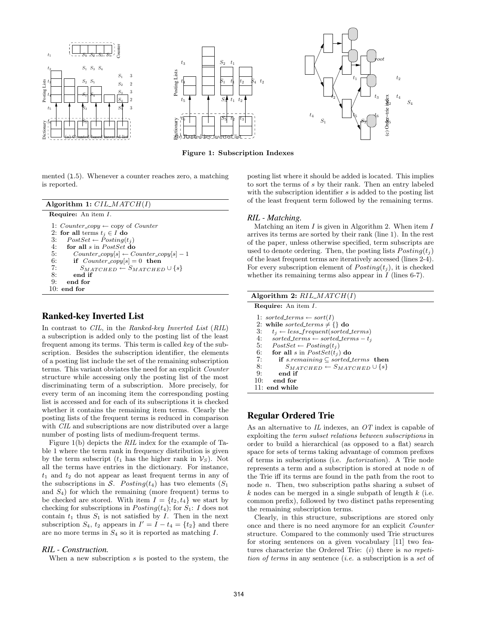

mented  $(1.5)$ . Whenever a counter reaches zero, a matching is reported.

| Algorithm 1: $CIL\_MATCH(I)$                             |  |  |
|----------------------------------------------------------|--|--|
| <b>Require:</b> An item I.                               |  |  |
| 1: Counter_copy $\leftarrow$ copy of Counter             |  |  |
| 2: for all terms $t_i \in I$ do                          |  |  |
| 3: $PostSet \leftarrow Posting(t_i)$                     |  |  |
| 4:<br>for all s in <i>PostSet</i> do                     |  |  |
| 5:<br>$Counter\_copy[s] \leftarrow Counter\_copy[s] - 1$ |  |  |
| 6:<br>if $Counter\_copy[s] = 0$ then                     |  |  |
| 7:<br>$S_{MATCHED} \leftarrow S_{MATCHED} \cup \{s\}$    |  |  |
| 8:<br>end if                                             |  |  |
| 9:<br>end for                                            |  |  |
| $10:$ end for                                            |  |  |

## Ranked-key Inverted List

In contrast to *CIL*, in the *Ranked-key Inverted List* (*RIL*) a subscription is added only to the posting list of the least frequent among its terms. This term is called *key* of the subscription. Besides the subscription identifier, the elements of a posting list include the set of the remaining subscription terms. This variant obviates the need for an explicit *Counter* structure while accessing only the posting list of the most discriminating term of a subscription. More precisely, for every term of an incoming item the corresponding posting list is accessed and for each of its subscriptions it is checked whether it contains the remaining item terms. Clearly the posting lists of the frequent terms is reduced in comparison with *CIL* and subscriptions are now distributed over a large number of posting lists of medium-frequent terms.

Figure 1(b) depicts the *RIL* index for the example of Table 1 where the term rank in frequency distribution is given by the term subscript  $(t_1)$  has the higher rank in  $\mathcal{V}_S$ ). Not all the terms have entries in the dictionary. For instance,  $t_1$  and  $t_2$  do not appear as least frequent terms in any of the subscriptions in S. Posting(t<sub>4</sub>) has two elements ( $S_1$ ) and  $S_4$ ) for which the remaining (more frequent) terms to be checked are stored. With item  $I = \{t_2, t_4\}$  we start by checking for subscriptions in  $Posting(t_4)$ ; for  $S_1$ : I does not contain  $t_1$  thus  $S_1$  is not satisfied by I. Then in the next subscription  $S_4$ ,  $t_2$  appears in  $I' = I - t_4 = \{t_2\}$  and there are no more terms in  $S_4$  so it is reported as matching  $I$ .

## *RIL - Construction.*

When a new subscription  $s$  is posted to the system, the

posting list where it should be added is located. This implies to sort the terms of s by their rank. Then an entry labeled with the subscription identifier s is added to the posting list of the least frequent term followed by the remaining terms.

## *RIL - Matching.*

Matching an item  $I$  is given in Algorithm 2. When item  $I$ arrives its terms are sorted by their rank (line 1). In the rest of the paper, unless otherwise specified, term subscripts are used to denote ordering. Then, the posting lists  $Position(t_i)$ of the least frequent terms are iteratively accessed (lines 2-4). For every subscription element of  $Posting(t_j)$ , it is checked whether its remaining terms also appear in  $I$  (lines 6-7).

| Algorithm 2: $RIL\_MATCH(I)$                          |  |  |
|-------------------------------------------------------|--|--|
| <b>Require:</b> An item I.                            |  |  |
| 1: sorted_terms $\leftarrow sort(I)$                  |  |  |
| 2: while sorted_terms $\neq \{\}$ do                  |  |  |
| 3:<br>$t_j \leftarrow less\_frequent(sorted\_terms)$  |  |  |
| 4:<br>$sorted\_terms \leftarrow sorted\_terms - t_i$  |  |  |
| 5: $PostSet \leftarrow Posting(t_j)$                  |  |  |
| 6:<br>for all s in $PostSet(t_i)$ do                  |  |  |
| 7:<br>if s remaining $\subset$ sorted_terms then      |  |  |
| 8:<br>$S_{MATCHED} \leftarrow S_{MATCHED} \cup \{s\}$ |  |  |
| 9:<br>end if                                          |  |  |
| 10:<br>end for                                        |  |  |
| $11:$ end while                                       |  |  |

# Regular Ordered Trie

As an alternative to *IL* indexes, an *OT* index is capable of exploiting the *term subset relations between subscriptions* in order to build a hierarchical (as opposed to a flat) search space for sets of terms taking advantage of common prefixes of terms in subscriptions (i.e. *factorization*). A Trie node represents a term and a subscription is stored at node n of the Trie iff its terms are found in the path from the root to node n. Then, two subscription paths sharing a subset of  $k$  nodes can be merged in a single subpath of length  $k$  (i.e. common prefix), followed by two distinct paths representing the remaining subscription terms.

Clearly, in this structure, subscriptions are stored only once and there is no need anymore for an explicit *Counter* structure. Compared to the commonly used Trie structures for storing sentences on a given vocabulary [11] two features characterize the Ordered Trie: (i) there is *no repetition of terms* in any sentence (*i.e.* a subscription is a *set* of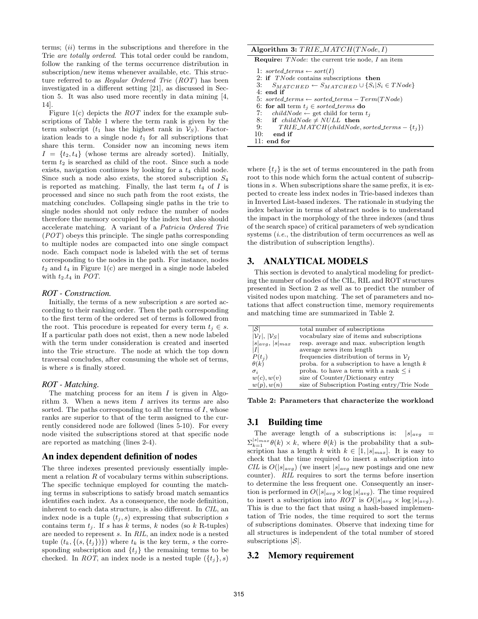terms;  $(ii)$  terms in the subscriptions and therefore in the Trie *are totally ordered*. This total order could be random, follow the ranking of the terms occurrence distribution in subscription/new items whenever available, etc. This structure referred to as *Regular Ordered Trie* (*ROT*) has been investigated in a different setting [21], as discussed in Section 5. It was also used more recently in data mining [4, 14].

Figure 1(c) depicts the *ROT* index for the example subscriptions of Table 1 where the term rank is given by the term subscript  $(t_1$  has the highest rank in  $\mathcal{V}_S$ ). Factorization leads to a single node  $t_1$  for all subscriptions that share this term. Consider now an incoming news item  $I = \{t_2, t_4\}$  (whose terms are already sorted). Initially, term  $t_2$  is searched as child of the root. Since such a node exists, navigation continues by looking for a  $t_4$  child node. Since such a node also exists, the stored subscription  $S_4$ is reported as matching. Finally, the last term  $t_4$  of  $I$  is processed and since no such path from the root exists, the matching concludes. Collapsing single paths in the trie to single nodes should not only reduce the number of nodes therefore the memory occupied by the index but also should accelerate matching. A variant of a *Patricia Ordered Trie* (*POT*) obeys this principle. The single paths corresponding to multiple nodes are compacted into one single compact node. Each compact node is labeled with the set of terms corresponding to the nodes in the path. For instance, nodes  $t_2$  and  $t_4$  in Figure 1(c) are merged in a single node labeled with  $t_2.t_4$  in *POT*.

#### *ROT - Construction.*

Initially, the terms of a new subscription  $s$  are sorted according to their ranking order. Then the path corresponding to the first term of the ordered set of terms is followed from the root. This procedure is repeated for every term  $t_i \in s$ . If a particular path does not exist, then a new node labeled with the term under consideration is created and inserted into the Trie structure. The node at which the top down traversal concludes, after consuming the whole set of terms, is where s is finally stored.

#### *ROT - Matching.*

The matching process for an item  $I$  is given in Algorithm 3. When a news item  $I$  arrives its terms are also sorted. The paths corresponding to all the terms of  $I$ , whose ranks are superior to that of the term assigned to the currently considered node are followed (lines 5-10). For every node visited the subscriptions stored at that specific node are reported as matching (lines 2-4).

#### An index dependent definition of nodes

The three indexes presented previously essentially implement a relation  $R$  of vocabulary terms within subscriptions. The specific technique employed for counting the matching terms in subscriptions to satisfy broad match semantics identifies each index. As a consequence, the node definition, inherent to each data structure, is also different. In *CIL*, an index node is a tuple  $(t_i, s)$  expressing that subscription s contains term  $t_i$ . If s has k terms, k nodes (so k R-tuples) are needed to represent s. In *RIL*, an index node is a nested tuple  $(t_k, \{(s, \{t_j\})\})$  where  $t_k$  is the key term, s the corresponding subscription and  $\{t_j\}$  the remaining terms to be checked. In *ROT*, an index node is a nested tuple  $({t<sub>j</sub>}, s)$ 

| Algorithm 3: $TRIE\_MATCH(TNode, I)$                                   |  |  |  |
|------------------------------------------------------------------------|--|--|--|
| <b>Require:</b> <i>TNode</i> : the current trie node, <i>I</i> an item |  |  |  |
| 1: sorted_terms $\leftarrow sort(I)$                                   |  |  |  |
| 2: if <i>TNode</i> contains subscriptions then                         |  |  |  |
| 3: $S_{MATCHED} \leftarrow S_{MATCHED} \cup \{S_i   S_i \in TNode\}$   |  |  |  |
| $4:$ end if                                                            |  |  |  |
| 5: sorted_terms $\leftarrow$ sorted_terms - $Term(TNode)$              |  |  |  |
| 6: for all term $t_i \in sorted \_terms$ do                            |  |  |  |
| 7: childNode $\leftarrow$ get child for term $t_i$                     |  |  |  |
| 8: if $childNode \neq NULL$ then                                       |  |  |  |
| $TRIE\_MATCH (childNode, sorted\_terms - \{t_j\})$<br>9:               |  |  |  |
| 10:<br>end if                                                          |  |  |  |
| $11:$ end for                                                          |  |  |  |

where  $\{t_i\}$  is the set of terms encountered in the path from root to this node which form the actual content of subscriptions in s. When subscriptions share the same prefix, it is expected to create less index nodes in Trie-based indexes than in Inverted List-based indexes. The rationale in studying the index behavior in terms of abstract nodes is to understand the impact in the morphology of the three indexes (and thus of the search space) of critical parameters of web syndication systems (*i.e.*, the distribution of term occurrences as well as the distribution of subscription lengths).

## 3. ANALYTICAL MODELS

This section is devoted to analytical modeling for predicting the number of nodes of the CIL, RIL and ROT structures presented in Section 2 as well as to predict the number of visited nodes upon matching. The set of parameters and notations that affect construction time, memory requirements and matching time are summarized in Table 2.

| S                                  | total number of subscriptions                  |
|------------------------------------|------------------------------------------------|
| $ \mathcal{V}_I ,  \mathcal{V}_S $ | vocabulary size of items and subscriptions     |
| $ s _{avg},  s _{max}$             | resp. average and max. subscription length     |
| I                                  | average news item length                       |
| $P(t_i)$                           | frequencies distribution of terms in $V_I$     |
| $\theta(k)$                        | proba. for a subscription to have a length $k$ |
| $\sigma_i$                         | proba. to have a term with a rank $\leq i$     |
| w(c), w(v)                         | size of Counter/Dictionary entry               |
| w(p), w(n)                         | size of Subscription Posting entry/Trie Node   |

Table 2: Parameters that characterize the workload

#### 3.1 Building time

The average length of a subscriptions is:  $|s|_{avg}$  =  $\Sigma_{k=1}^{|s|_{max}} \theta(k) \times k$ , where  $\theta(k)$  is the probability that a subscription has a length k with  $k \in [1, |s|_{max}]$ . It is easy to check that the time required to insert a subscription into *CIL* is  $O(|s|_{avg})$  (we insert  $|s|_{avg}$  new postings and one new counter). *RIL* requires to sort the terms before insertion to determine the less frequent one. Consequently an insertion is performed in  $O(|s|_{avg} \times \log |s|_{avg})$ . The time required to insert a subscription into *ROT* is  $O(|s|_{avg} \times \log |s|_{avg})$ . This is due to the fact that using a hash-based implementation of Trie nodes, the time required to sort the terms of subscriptions dominates. Observe that indexing time for all structures is independent of the total number of stored subscriptions  $|\mathcal{S}|$ .

## 3.2 Memory requirement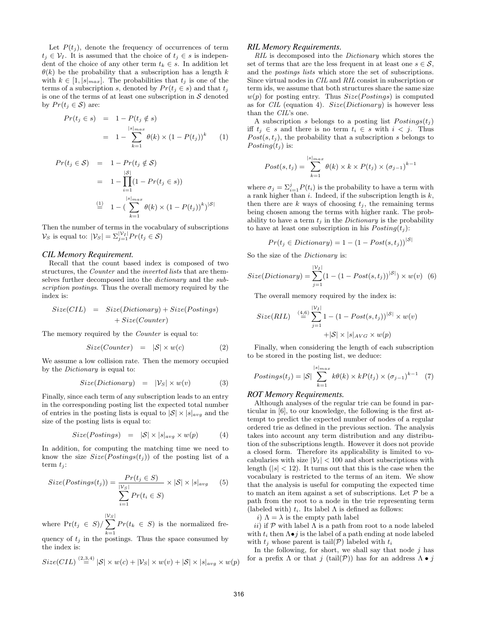Let  $P(t_i)$ , denote the frequency of occurrences of term  $t_i \in \mathcal{V}_I$ . It is assumed that the choice of  $t_i \in s$  is independent of the choice of any other term  $t_k \in s$ . In addition let  $\theta(k)$  be the probability that a subscription has a length k with  $k \in [1, |s|_{max}]$ . The probabilities that  $t_j$  is one of the terms of a subscription s, denoted by  $Pr(t_j \in s)$  and that  $t_j$ is one of the terms of at least one subscription in  $S$  denoted by  $Pr(t_j \in \mathcal{S})$  are:

$$
Pr(t_j \in s) = 1 - P(t_j \notin s)
$$
  
=  $1 - \sum_{k=1}^{|s|_{max}} \theta(k) \times (1 - P(t_j))^k$  (1)

$$
Pr(t_j \in \mathcal{S}) = 1 - Pr(t_j \notin \mathcal{S})
$$
  
= 
$$
1 - \prod_{i=1}^{|\mathcal{S}|} (1 - Pr(t_j \in s))
$$
  

$$
\stackrel{\text{(1)}}{=} 1 - \left( \sum_{k=1}^{|\mathcal{s}|_{max}} \theta(k) \times (1 - P(t_j))^k \right)^{|\mathcal{S}|}
$$

Then the number of terms in the vocabulary of subscriptions  $\mathcal{V}_S$  is equal to:  $|\mathcal{V}_S| = \sum_{j=1}^{|\mathcal{V}_I|} Pr(t_j \in S)$ 

#### *CIL Memory Requirement.*

Recall that the count based index is composed of two structures, the *Counter* and the *inverted lists* that are themselves further decomposed into the *dictionary* and the *subscription postings*. Thus the overall memory required by the index is:

$$
Size(CIL) = Size(Dictionary) + Size(Postings) + Size(Connter)
$$

The memory required by the *Counter* is equal to:

$$
Size(Couter) = |\mathcal{S}| \times w(c) \tag{2}
$$

We assume a low collision rate. Then the memory occupied by the *Dictionary* is equal to:

$$
Size(Dictionary) = |\mathcal{V}_S| \times w(v) \tag{3}
$$

Finally, since each term of any subscription leads to an entry in the corresponding posting list the expected total number of entries in the posting lists is equal to  $|\mathcal{S}| \times |s|_{avg}$  and the size of the posting lists is equal to:

$$
Size(Postings) = |\mathcal{S}| \times |s|_{avg} \times w(p) \tag{4}
$$

In addition, for computing the matching time we need to know the size  $Size(Postings(t_i))$  of the posting list of a term  $t_j$ :

$$
Size(Postings(t_j)) = \frac{Pr(t_j \in S)}{\sum_{i=1}^{|V_S|} Pr(t_i \in S)} \times |S| \times |s|_{avg} \tag{5}
$$

where  $Pr(t_j \in S)/$  $\sum$  $k=1$  $Pr(t_k \in S)$  is the normalized fre-

quency of  $t_j$  in the postings. Thus the space consumed by the index is:

$$
Size(CIL) \stackrel{(2,3,4)}{=} |\mathcal{S}| \times w(c) + |\mathcal{V}_S| \times w(v) + |\mathcal{S}| \times |s|_{avg} \times w(p)
$$

### *RIL Memory Requirements.*

*RIL* is decomposed into the *Dictionary* which stores the set of terms that are the less frequent in at least one  $s \in \mathcal{S}$ , and the *postings lists* which store the set of subscriptions. Since virtual nodes in *CIL* and *RIL* consist in subscription or term ids, we assume that both structures share the same size  $w(p)$  for posting entry. Thus  $Size(Postings)$  is computed as for *CIL* (equation 4). Size(Dictionary) is however less than the *CIL*'s one.

A subscription s belongs to a posting list  $Postings(t_i)$ iff  $t_i \in s$  and there is no term  $t_i \in s$  with  $i < j$ . Thus  $Post(s, t<sub>j</sub>)$ , the probability that a subscription s belongs to Posting $(t_i)$  is:

$$
Post(s, t_j) = \sum_{k=1}^{|s|_{max}} \theta(k) \times k \times P(t_j) \times (\sigma_{j-1})^{k-1}
$$

where  $\sigma_j = \sum_{i=1}^j P(t_i)$  is the probability to have a term with a rank higher than  $i$ . Indeed, if the subscription length is  $k$ , then there are k ways of choosing  $t_i$ , the remaining terms being chosen among the terms with higher rank. The probability to have a term  $t_i$  in the *Dictionary* is the probability to have at least one subscription in his  $Posting(t_j)$ :

$$
Pr(t_j \in Dictionary) = 1 - (1 - Post(s, t_j))^{|\mathcal{S}|}
$$

So the size of the *Dictionary* is:

$$
Size(Dictionary) = \sum_{j=1}^{|\mathcal{V}_I|} (1 - (1 - Post(s, t_j))^{|\mathcal{S}|}) \times w(v) \quad (6)
$$

The overall memory required by the index is:

$$
Size(RIL) \stackrel{(4,6)}{=} \sum_{j=1}^{|V_I|} 1 - (1 - Post(s, t_j))^{|\mathcal{S}|} \times w(v)
$$

$$
+ |\mathcal{S}| \times |s|_{AVG} \times w(p)
$$

Finally, when considering the length of each subscription to be stored in the posting list, we deduce:

$$
Postings(t_j) = |\mathcal{S}| \sum_{k=1}^{|s|_{max}} k\theta(k) \times kP(t_j) \times (\sigma_{j-1})^{k-1} \quad (7)
$$

#### *ROT Memory Requirements.*

Although analyses of the regular trie can be found in particular in [6], to our knowledge, the following is the first attempt to predict the expected number of nodes of a regular ordered trie as defined in the previous section. The analysis takes into account any term distribution and any distribution of the subscriptions length. However it does not provide a closed form. Therefore its applicability is limited to vocabularies with size  $|\mathcal{V}_I|$  < 100 and short subscriptions with length  $(|s| < 12)$ . It turns out that this is the case when the vocabulary is restricted to the terms of an item. We show that the analysis is useful for computing the expected time to match an item against a set of subscriptions. Let  $P$  be a path from the root to a node in the trie representing term (labeled with)  $t_i$ . Its label  $\Lambda$  is defined as follows:

i)  $\Lambda = \lambda$  is the empty path label

ii) if P with label  $\Lambda$  is a path from root to a node labeled with  $t_i$  then  $\Lambda \bullet j$  is the label of a path ending at node labeled with  $t_j$  whose parent is tail( $\mathcal{P}$ ) labeled with  $t_i$ 

In the following, for short, we shall say that node  $j$  has for a prefix  $\Lambda$  or that j (tail(P)) has for an address  $\Lambda \bullet j$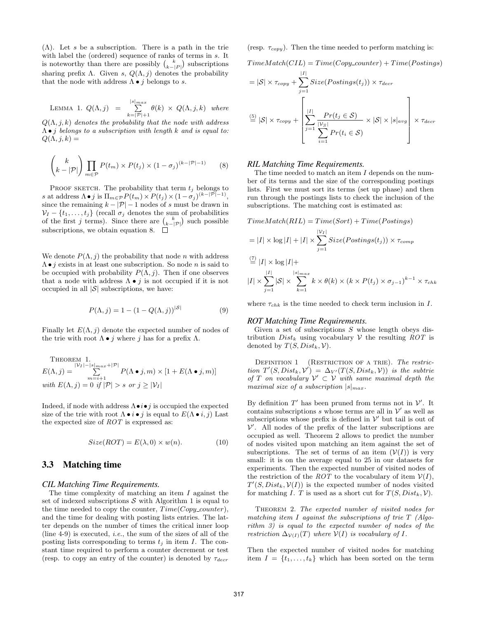( $\Lambda$ ). Let s be a subscription. There is a path in the trie with label the (ordered) sequence of ranks of terms in s. It is noteworthy than there are possibly  $\binom{k}{k-|P|}$  subscriptions sharing prefix  $\Lambda$ . Given s,  $Q(\Lambda, j)$  denotes the probability that the node with address  $\Lambda \bullet j$  belongs to s.

LEMMA 1. 
$$
Q(\Lambda, j) = \sum_{k=|\mathcal{P}|+1}^{|s|_{max}} \theta(k) \times Q(\Lambda, j, k)
$$
 where

Q(Λ, j, k) *denotes the probability that the node with address* Λ • j *belongs to a subscription with length* k *and is equal to:*  $Q(\Lambda, j, k) =$ 

$$
\binom{k}{k-|\mathcal{P}|}\prod_{m\in\mathcal{P}}P(t_m)\times P(t_j)\times(1-\sigma_j)^{(k-|\mathcal{P}|-1)}\qquad(8)
$$

PROOF SKETCH. The probability that term  $t_j$  belongs to s at address  $\Lambda \bullet j$  is  $\Pi_{m \in \mathcal{P}} P(t_m) \times P(t_j) \times (1 - \sigma_j)^{(k - |\mathcal{P}|-1)}$ , since the remaining  $k - |\mathcal{P}| - 1$  nodes of s must be drawn in  $V_I - \{t_1, \ldots, t_j\}$  (recall  $\sigma_j$  denotes the sum of probabilities of the first j terms). Since there are  $\binom{k}{k-1}$  such possible subscriptions, we obtain equation 8.  $\Box$ 

We denote  $P(\Lambda, j)$  the probability that node n with address  $\Lambda \bullet i$  exists in at least one subscription. So node *n* is said to be occupied with probability  $P(\Lambda, j)$ . Then if one observes that a node with address  $\Lambda \bullet i$  is not occupied if it is not occupied in all  $|\mathcal{S}|$  subscriptions, we have:

$$
P(\Lambda, j) = 1 - (1 - Q(\Lambda, j))^{|\mathcal{S}|}
$$
\n(9)

Finally let  $E(\Lambda, j)$  denote the expected number of nodes of the trie with root  $\Lambda \bullet j$  where j has for a prefix  $\Lambda$ .

THEOREM 1.  
\n
$$
E(\Lambda, j) = \sum_{\substack{|V_I| - |s|_{max} + |\mathcal{P}| \\ m = i + 1}}^{\lfloor V_I| - |s|_{max} + |\mathcal{P}|} P(\Lambda \bullet j, m) \times [1 + E(\Lambda \bullet j, m)]
$$
\nwith  $E(\Lambda, j) = 0$  if  $|\mathcal{P}| > s$  or  $j \geq |\mathcal{V}_I|$ 

Indeed, if node with address  $\Lambda \bullet i \bullet j$  is occupied the expected size of the trie with root  $\Lambda \bullet i \bullet j$  is equal to  $E(\Lambda \bullet i, j)$  Last the expected size of *ROT* is expressed as:

$$
Size(ROT) = E(\lambda, 0) \times w(n). \tag{10}
$$

## 3.3 Matching time

#### *CIL Matching Time Requirements.*

The time complexity of matching an item  $I$  against the set of indexed subscriptions  $S$  with Algorithm 1 is equal to the time needed to copy the counter,  $Time(Copy\_counter)$ , and the time for dealing with posting lists entries. The latter depends on the number of times the critical inner loop (line 4-9) is executed, *i.e.*, the sum of the sizes of all of the posting lists corresponding to terms  $t_j$  in item I. The constant time required to perform a counter decrement or test (resp. to copy an entry of the counter) is denoted by  $\tau_{decr}$ 

(resp.  $\tau_{copy}$ ). Then the time needed to perform matching is:

 $TimeMatch(CIL) = Time(Copy\_counter) + Time(Postings)$ 

$$
= |\mathcal{S}| \times \tau_{copy} + \sum_{j=1}^{|I|} Size(Postings(t_j)) \times \tau_{decr}
$$
  
\n
$$
\stackrel{(5)}{=} |\mathcal{S}| \times \tau_{copy} + \left[\sum_{j=1}^{|I|} \frac{Pr(t_j \in \mathcal{S})}{\sum_{i=1}^{|V_S|} Pr(t_i \in \mathcal{S})} \times |\mathcal{S}| \times |s|_{avg}\right] \times \tau_{decr}
$$

#### *RIL Matching Time Requirements.*

 $|I|$ 

The time needed to match an item  $I$  depends on the number of its terms and the size of the corresponding postings lists. First we must sort its terms (set up phase) and then run through the postings lists to check the inclusion of the subscriptions. The matching cost is estimated as:

$$
TimeMatch(RIL) = Time(Sort) + Time(Postings)
$$
  
= |I| × log |I| + |I| ×  $\sum_{j=1}^{|\mathcal{V}_I|} Size(Postings(t_j)) \times \tau_{comp}$   

$$
\stackrel{(7)}{=} |I| \times log |I| +
$$
  

$$
|I| \times \sum_{j=1}^{|I|} |S| \times \sum_{k=1}^{|\operatorname{s}|} k \times \theta(k) \times (k \times P(t_j) \times \sigma_{j-1})^{k-1} \times \tau_{chk}
$$

where  $\tau_{chk}$  is the time needed to check term inclusion in I.

#### *ROT Matching Time Requirements.*

Given a set of subscriptions  $S$  whose length obeys distribution  $Dist_k$  using vocabulary  $V$  the resulting *ROT* is denoted by  $T(S, Dist_k, V)$ .

Definition 1 (Restriction of a trie). *The restric-* $\lim T'(S, Dist_k, V') = \Delta_{V'}(T(S, Dist_k, V))$  *is the subtrie of*  $T$  *on vocabulary*  $V' \subset V$  *with same maximal depth the maximal size of a subscription*  $|s|_{max}$ .

By definition  $T'$  has been pruned from terms not in  $\mathcal{V}'$ . It contains subscriptions  $s$  whose terms are all in  $\mathcal{V}'$  as well as subscriptions whose prefix is defined in  $\mathcal{V}'$  but tail is out of  $V'$ . All nodes of the prefix of the latter subscriptions are occupied as well. Theorem 2 allows to predict the number of nodes visited upon matching an item against the set of subscriptions. The set of terms of an item  $(V(I))$  is very small: it is on the average equal to 25 in our datasets for experiments. Then the expected number of visited nodes of the restriction of the *ROT* to the vocabulary of item  $V(I)$ ,  $T'(S, Dist_k, V(I))$  is the expected number of nodes visited for matching I. T is used as a short cut for  $T(S, Dist_k, V)$ .

Theorem 2. *The expected number of visited nodes for matching item* I *against the subscriptions of trie* T *(Algorithm 3) is equal to the expected number of nodes of the restriction*  $\Delta_{V(I)}(T)$  *where*  $V(I)$  *is vocabulary of I.* 

Then the expected number of visited nodes for matching item  $I = \{t_1, \ldots, t_k\}$  which has been sorted on the term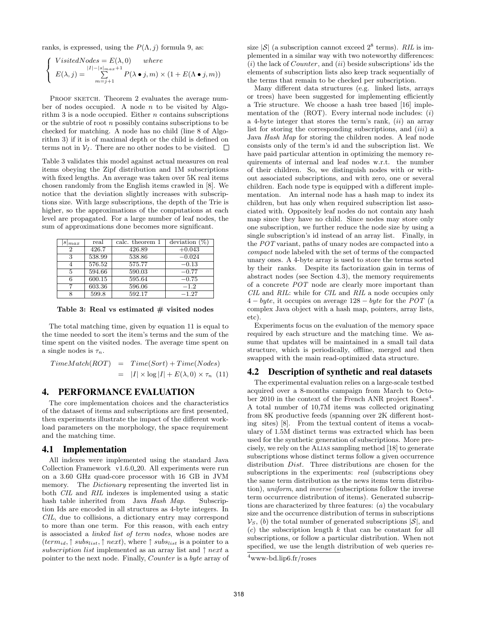ranks, is expressed, using the  $P(\Lambda, j)$  formula 9, as:

$$
\begin{cases}\nVisitedNodes = E(\lambda, 0) & where \\
E(\lambda, j) = \sum_{m=j+1}^{|I| - |s|_{max} + 1} P(\lambda \bullet j, m) \times (1 + E(\Lambda \bullet j, m))\n\end{cases}
$$

PROOF SKETCH. Theorem 2 evaluates the average number of nodes occupied. A node  $n$  to be visited by Algorithm 3 is a node occupied. Either  $n$  contains subscriptions or the subtrie of root  $n$  possibly contains subscriptions to be checked for matching. A node has no child (line 8 of Algorithm 3) if it is of maximal depth or the child is defined on terms not in  $V_I$ . There are no other nodes to be visited.  $\Box$ 

Table 3 validates this model against actual measures on real items obeying the Zipf distribution and 1M subscriptions with fixed lengths. An average was taken over 5K real items chosen randomly from the English items crawled in [8]. We notice that the deviation slightly increases with subscriptions size. With large subscriptions, the depth of the Trie is higher, so the approximations of the computations at each level are propagated. For a large number of leaf nodes, the sum of approximations done becomes more significant.

| $ s _{max}$ | real   | calc. theorem 1 | deviation $(\%$ |
|-------------|--------|-----------------|-----------------|
| 2           | 426.7  | 426.89          | $+0.043$        |
| 3           | 538.99 | 538.86          | $-0.024$        |
|             | 576.52 | 575.77          | $-0.13$         |
| 5           | 594.66 | 590.03          | $-0.77$         |
| 6           | 600.15 | 595.64          | $-0.75$         |
|             | 603.36 | 596.06          | $-1.2$          |
| 8           | 599.8  | 592.17          | $-1.27$         |

Table 3: Real vs estimated  $#$  visited nodes

The total matching time, given by equation 11 is equal to the time needed to sort the item's terms and the sum of the time spent on the visited nodes. The average time spent on a single nodes is  $\tau_n$ .

$$
TimeMatch (ROT) = Time (Sort) + Time (Nodes)
$$

$$
= |I| \times \log |I| + E(\lambda, 0) \times \tau_n (11)
$$

## 4. PERFORMANCE EVALUATION

The core implementation choices and the characteristics of the dataset of items and subscriptions are first presented, then experiments illustrate the impact of the different workload parameters on the morphology, the space requirement and the matching time.

#### 4.1 Implementation

All indexes were implemented using the standard Java Collection Framework v1.6.0 20. All experiments were run on a 3.60 GHz quad-core processor with 16 GB in JVM memory. The *Dictionary* representing the inverted list in both *CIL* and *RIL* indexes is implemented using a static hash table inherited from Java *Hash Map*. Subscription Ids are encoded in all structures as 4-byte integers. In *CIL*, due to collisions, a dictionary entry may correspond to more than one term. For this reason, with each entry is associated a *linked list of term nodes*, whose nodes are  $(term_{id}, \uparrow subs_{list}, \uparrow next),$  where  $\uparrow subs_{list}$  is a pointer to a subscription list implemented as an array list and  $\uparrow$  next a pointer to the next node. Finally, Counter is a byte array of

size  $|\mathcal{S}|$  (a subscription cannot exceed  $2^8$  terms). *RIL* is implemented in a similar way with two noteworthy differences:  $(i)$  the lack of *Counter*, and  $(ii)$  beside subscriptions' ids the elements of subscription lists also keep track sequentially of the terms that remain to be checked per subscription.

Many different data structures (e.g. linked lists, arrays or trees) have been suggested for implementing efficiently a Trie structure. We choose a hash tree based [16] implementation of the  $(ROT)$ . Every internal node includes:  $(i)$ a 4-byte integer that stores the term's rank,  $(ii)$  an array list for storing the corresponding subscriptions, and  $(iii)$  a Java *Hash Map* for storing the children nodes. A leaf node consists only of the term's id and the subscription list. We have paid particular attention in optimizing the memory requirements of internal and leaf nodes w.r.t. the number of their children. So, we distinguish nodes with or without associated subscriptions, and with zero, one or several children. Each node type is equipped with a different implementation. An internal node has a hash map to index its children, but has only when required subscription list associated with. Oppositely leaf nodes do not contain any hash map since they have no child. Since nodes may store only one subscription, we further reduce the node size by using a single subscription's id instead of an array list. Finally, in the *POT* variant, paths of unary nodes are compacted into a *compact* node labeled with the set of terms of the compacted unary ones. A 4-byte array is used to store the terms sorted by their ranks. Despite its factorization gain in terms of abstract nodes (see Section 4.3), the memory requirements of a concrete *POT* node are clearly more important than *CIL* and *RIL*: while for *CIL* and *RIL* a node occupies only 4 − byte, it occupies on average 128 − byte for the *POT* (a complex Java object with a hash map, pointers, array lists, etc).

Experiments focus on the evaluation of the memory space required by each structure and the matching time. We assume that updates will be maintained in a small tail data structure, which is periodically, offline, merged and then swapped with the main read-optimized data structure.

## 4.2 Description of synthetic and real datasets

The experimental evaluation relies on a large-scale testbed acquired over a 8-months campaign from March to October 2010 in the context of the French ANR project Roses<sup>4</sup>. A total number of 10,7M items was collected originating from 8K productive feeds (spanning over 2K different hosting sites) [8]. From the textual content of items a vocabulary of 1.5M distinct terms was extracted which has been used for the synthetic generation of subscriptions. More precisely, we rely on the Alias sampling method [18] to generate subscriptions whose distinct terms follow a given occurrence distribution *Dist*. Three distributions are chosen for the subscriptions in the experiments: *real* (subscriptions obey the same term distribution as the news items term distribution), *uniform*, and *inverse* (subscriptions follow the inverse term occurrence distribution of items). Generated subscriptions are characterized by three features: (a) the vocabulary size and the occurrence distribution of terms in subscriptions  $V<sub>S</sub>$ , (b) the total number of generated subscriptions  $|S|$ , and  $(c)$  the subscription length k that can be constant for all subscriptions, or follow a particular distribution. When not specified, we use the length distribution of web queries re-

<sup>4</sup>www-bd.lip6.fr/roses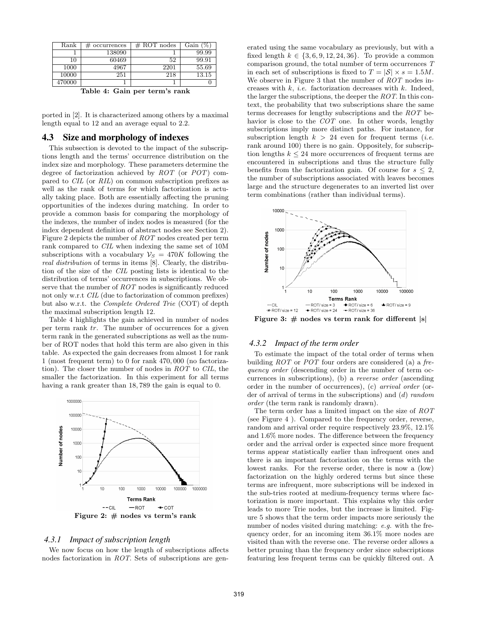| Rank   | #<br>occurrences | $#$ ROT nodes | (%<br>Gain |
|--------|------------------|---------------|------------|
|        | 138090           |               | 99.99      |
| 10     | 60469            | 52            | 99.91      |
| 1000   | 4967             | 2201          | 55.69      |
| 10000  | 251              | 218           | 13.15      |
| 470000 |                  |               |            |

Table 4: Gain per term's rank

ported in [2]. It is characterized among others by a maximal length equal to 12 and an average equal to 2.2.

## 4.3 Size and morphology of indexes

This subsection is devoted to the impact of the subscriptions length and the terms' occurrence distribution on the index size and morphology. These parameters determine the degree of factorization achieved by *ROT* (or *POT*) compared to *CIL* (or *RIL*) on common subscription prefixes as well as the rank of terms for which factorization is actually taking place. Both are essentially affecting the pruning opportunities of the indexes during matching. In order to provide a common basis for comparing the morphology of the indexes, the number of index nodes is measured (for the index dependent definition of abstract nodes see Section 2). Figure 2 depicts the number of *ROT* nodes created per term rank compared to *CIL* when indexing the same set of 10M subscriptions with a vocabulary  $\mathcal{V}_S = 470K$  following the *real distribution* of terms in items [8]. Clearly, the distribution of the size of the *CIL* posting lists is identical to the distribution of terms' occurrences in subscriptions. We observe that the number of *ROT* nodes is significantly reduced not only w.r.t *CIL* (due to factorization of common prefixes) but also w.r.t. the *Complete Ordered Trie* (COT) of depth the maximal subscription length 12.

Table 4 highlights the gain achieved in number of nodes per term rank tr. The number of occurrences for a given term rank in the generated subscriptions as well as the number of ROT nodes that hold this term are also given in this table. As expected the gain decreases from almost 1 for rank 1 (most frequent term) to 0 for rank 470, 000 (no factorization). The closer the number of nodes in *ROT* to *CIL*, the smaller the factorization. In this experiment for all terms having a rank greater than 18, 789 the gain is equal to 0.



#### *4.3.1 Impact of subscription length*

We now focus on how the length of subscriptions affects nodes factorization in *ROT*. Sets of subscriptions are generated using the same vocabulary as previously, but with a fixed length  $k \in \{3, 6, 9, 12, 24, 36\}$ . To provide a common comparison ground, the total number of term occurrences *T* in each set of subscriptions is fixed to  $T = |\mathcal{S}| \times s = 1.5M$ . We observe in Figure 3 that the number of *ROT* nodes increases with k, *i.e.* factorization decreases with k. Indeed, the larger the subscriptions, the deeper the *ROT*. In this context, the probability that two subscriptions share the same terms decreases for lengthy subscriptions and the *ROT* behavior is close to the *COT* one. In other words, lengthy subscriptions imply more distinct paths. For instance, for subscription length  $k > 24$  even for frequent terms *(i.e.*) rank around 100) there is no gain. Oppositely, for subscription lengths  $k \leq 24$  more occurrences of frequent terms are encountered in subscriptions and thus the structure fully benefits from the factorization gain. Of course for  $s \leq 2$ , the number of subscriptions associated with leaves becomes large and the structure degenerates to an inverted list over term combinations (rather than individual terms).



Figure 3:  $\#$  nodes vs term rank for different  $|s|$ 

## *4.3.2 Impact of the term order*

To estimate the impact of the total order of terms when building *ROT* or *POT* four orders are considered (a) a *frequency order* (descending order in the number of term occurrences in subscriptions), (b) a *reverse order* (ascending order in the number of occurrences), (c) *arrival order* (order of arrival of terms in the subscriptions) and (d) *random order* (the term rank is randomly drawn).

The term order has a limited impact on the size of *ROT* (see Figure 4 ). Compared to the frequency order, reverse, random and arrival order require respectively 23.9%, 12.1% and 1.6% more nodes. The difference between the frequency order and the arrival order is expected since more frequent terms appear statistically earlier than infrequent ones and there is an important factorization on the terms with the lowest ranks. For the reverse order, there is now a (low) factorization on the highly ordered terms but since these terms are infrequent, more subscriptions will be indexed in the sub-tries rooted at medium-frequency terms where factorization is more important. This explains why this order leads to more Trie nodes, but the increase is limited. Figure 5 shows that the term order impacts more seriously the number of nodes visited during matching: *e.g.* with the frequency order, for an incoming item 36.1% more nodes are visited than with the reverse one. The reverse order allows a better pruning than the frequency order since subscriptions featuring less frequent terms can be quickly filtered out. A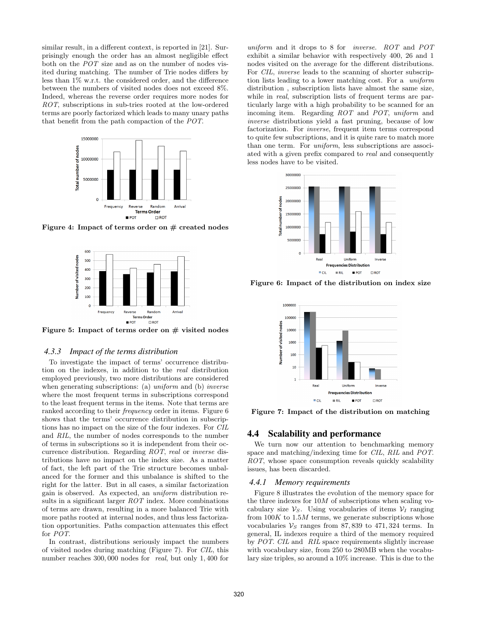similar result, in a different context, is reported in [21]. Surprisingly enough the order has an almost negligible effect both on the *POT* size and as on the number of nodes visited during matching. The number of Trie nodes differs by less than 1% w.r.t. the considered order, and the difference between the numbers of visited nodes does not exceed 8%. Indeed, whereas the reverse order requires more nodes for *ROT*, subscriptions in sub-tries rooted at the low-ordered terms are poorly factorized which leads to many unary paths that benefit from the path compaction of the *POT*.



Figure 4: Impact of terms order on  $#$  created nodes



Figure 5: Impact of terms order on  $#$  visited nodes

#### *4.3.3 Impact of the terms distribution*

To investigate the impact of terms' occurrence distribution on the indexes, in addition to the *real* distribution employed previously, two more distributions are considered when generating subscriptions: (a) *uniform* and (b) *inverse* where the most frequent terms in subscriptions correspond to the least frequent terms in the items. Note that terms are ranked according to their *frequency* order in items. Figure 6 shows that the terms' occurrence distribution in subscriptions has no impact on the size of the four indexes. For *CIL* and *RIL*, the number of nodes corresponds to the number of terms in subscriptions so it is independent from their occurrence distribution. Regarding *ROT*, *real* or *inverse* distributions have no impact on the index size. As a matter of fact, the left part of the Trie structure becomes unbalanced for the former and this unbalance is shifted to the right for the latter. But in all cases, a similar factorization gain is observed. As expected, an *uniform* distribution results in a significant larger *ROT* index. More combinations of terms are drawn, resulting in a more balanced Trie with more paths rooted at internal nodes, and thus less factorization opportunities. Paths compaction attenuates this effect for *POT*.

In contrast, distributions seriously impact the numbers of visited nodes during matching (Figure 7). For *CIL*, this number reaches 300, 000 nodes for *real*, but only 1, 400 for

*uniform* and it drops to 8 for *inverse*. *ROT* and *POT* exhibit a similar behavior with respectively 400, 26 and 1 nodes visited on the average for the different distributions. For *CIL*, *inverse* leads to the scanning of shorter subscription lists leading to a lower matching cost. For a *uniform* distribution , subscription lists have almost the same size, while in *real*, subscription lists of frequent terms are particularly large with a high probability to be scanned for an incoming item. Regarding *ROT* and *POT*, *uniform* and *inverse* distributions yield a fast pruning, because of low factorization. For *inverse*, frequent item terms correspond to quite few subscriptions, and it is quite rare to match more than one term. For *uniform*, less subscriptions are associated with a given prefix compared to *real* and consequently less nodes have to be visited.



Figure 6: Impact of the distribution on index size



Figure 7: Impact of the distribution on matching

## 4.4 Scalability and performance

We turn now our attention to benchmarking memory space and matching/indexing time for *CIL*, *RIL* and *POT*. *ROT*, whose space consumption reveals quickly scalability issues, has been discarded.

#### *4.4.1 Memory requirements*

Figure 8 illustrates the evolution of the memory space for the three indexes for 10M of subscriptions when scaling vocabulary size  $V_s$ . Using vocabularies of items  $V_I$  ranging from  $100K$  to  $1.5M$  terms, we generate subscriptions whose vocabularies  $\mathcal{V}_S$  ranges from 87, 839 to 471, 324 terms. In general, IL indexes require a third of the memory required by *POT*. *CIL* and *RIL* space requirements slightly increase with vocabulary size, from 250 to 280MB when the vocabulary size triples, so around a 10% increase. This is due to the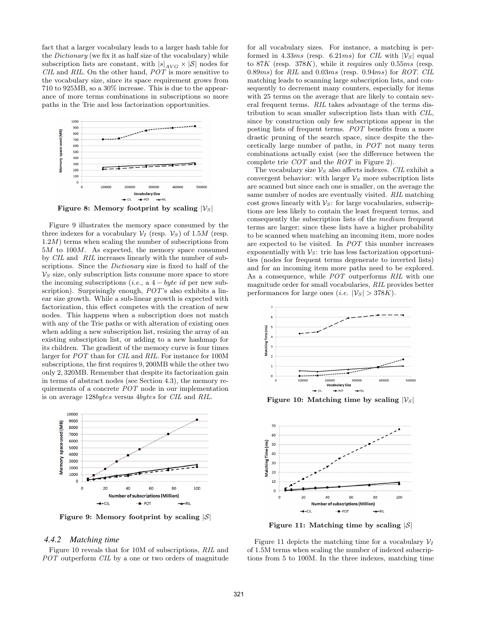fact that a larger vocabulary leads to a larger hash table for the *Dictionary* (we fix it as half size of the vocabulary) while subscription lists are constant, with  $|s|_{AVG} \times |S|$  nodes for *CIL* and *RIL*. On the other hand, *POT* is more sensitive to the vocabulary size, since its space requirement grows from 710 to 925MB, so a 30% increase. This is due to the appearance of more terms combinations in subscriptions so more paths in the Trie and less factorization opportunities.



Figure 8: Memory footprint by scaling  $|\mathcal{V}_S|$ 

Figure 9 illustrates the memory space consumed by the three indexes for a vocabulary  $\mathcal{V}_I$  (resp.  $\mathcal{V}_S$ ) of 1.5M (resp. 1.2M) terms when scaling the number of subscriptions from 5M to 100M. As expected, the memory space consumed by *CIL* and *RIL* increases linearly with the number of subscriptions. Since the *Dictionary* size is fixed to half of the  $\mathcal{V}_S$  size, only subscription lists consume more space to store the incoming subscriptions (*i.e.*, a  $4 - byte$  *id* per new subscription). Surprisingly enough, *POT*'s also exhibits a linear size growth. While a sub-linear growth is expected with factorization, this effect competes with the creation of new nodes. This happens when a subscription does not match with any of the Trie paths or with alteration of existing ones when adding a new subscription list, resizing the array of an existing subscription list, or adding to a new hashmap for its children. The gradient of the memory curve is four times larger for *POT* than for *CIL* and *RIL*. For instance for 100M subscriptions, the first requires 9, 200MB while the other two only 2, 320MB. Remember that despite its factorization gain in terms of abstract nodes (see Section 4.3), the memory requirements of a concrete *POT* node in our implementation is on average 128bytes versus 4bytes for *CIL* and *RIL*.



Figure 9: Memory footprint by scaling  $|S|$ 

#### *4.4.2 Matching time*

Figure 10 reveals that for 10M of subscriptions, *RIL* and *POT* outperform *CIL* by a one or two orders of magnitude

for all vocabulary sizes. For instance, a matching is performed in 4.33ms (resp. 6.21ms) for *CIL* with  $|V_s|$  equal to  $87K$  (resp.  $378K$ ), while it requires only  $0.55ms$  (resp. 0.89ms) for *RIL* and 0.03ms (resp. 0.94ms) for *ROT*. *CIL* matching leads to scanning large subscription lists, and consequently to decrement many counters, especially for items with 25 terms on the average that are likely to contain several frequent terms. *RIL* takes advantage of the terms distribution to scan smaller subscription lists than with *CIL*, since by construction only few subscriptions appear in the posting lists of frequent terms. *POT* benefits from a more drastic pruning of the search space, since despite the theoretically large number of paths, in *POT* not many term combinations actually exist (see the difference between the complete trie *COT* and the *ROT* in Figure 2).

The vocabulary size  $\mathcal{V}_S$  also affects indexes. *CIL* exhibit a convergent behavior: with larger  $\mathcal{V}_S$  more subscription lists are scanned but since each one is smaller, on the average the same number of nodes are eventually visited. *RIL* matching cost grows linearly with  $\mathcal{V}_S$ : for large vocabularies, subscriptions are less likely to contain the least frequent terms, and consequently the subscription lists of the medium frequent terms are larger; since these lists have a higher probability to be scanned when matching an incoming item, more nodes are expected to be visited. In *POT* this number increases exponentially with  $\mathcal{V}_S$ : trie has less factorization opportunities (nodes for frequent terms degenerate to inverted lists) and for an incoming item more paths need to be explored. As a consequence, while *POT* outperforms *RIL* with one magnitude order for small vocabularies, *RIL* provides better performances for large ones (*i.e.*  $|\mathcal{V}_S| > 378K$ ).



Figure 10: Matching time by scaling  $|\mathcal{V}_S|$ 



Figure 11: Matching time by scaling  $|\mathcal{S}|$ 

Figure 11 depicts the matching time for a vocabulary  $\mathcal{V}_I$ of 1.5M terms when scaling the number of indexed subscriptions from 5 to 100M. In the three indexes, matching time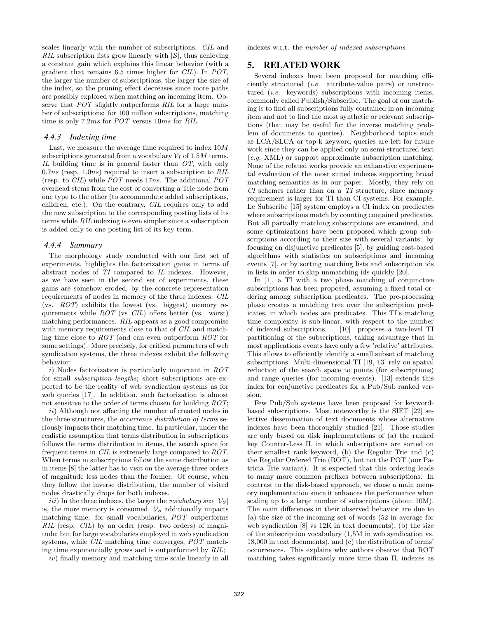scales linearly with the number of subscriptions. *CIL* and *RIL* subscription lists grow linearly with  $|S|$ , thus achieving a constant gain which explains this linear behavior (with a gradient that remains 6.5 times higher for *CIL*). In *POT*, the larger the number of subscriptions, the larger the size of the index, so the pruning effect decreases since more paths are possibly explored when matching an incoming item. Observe that *POT* slightly outperforms *RIL* for a large number of subscriptions: for 100 million subscriptions, matching time is only 7.2ms for *POT* versus 10ms for *RIL*.

### *4.4.3 Indexing time*

Last, we measure the average time required to index 10M subscriptions generated from a vocabulary  $\mathcal{V}_I$  of 1.5M terms. *IL* building time is in general faster than *OT*, with only 0.7ns (resp. 1.0ns) required to insert a subscription to *RIL* (resp. to *CIL*) while *POT* needs 17ns. The additional *POT* overhead stems from the cost of converting a Trie node from one type to the other (to accommodate added subscriptions, children, etc.). On the contrary, *CIL* requires only to add the new subscription to the corresponding posting lists of its terms while *RIL* indexing is even simpler since a subscription is added only to one posting list of its key term.

#### *4.4.4 Summary*

The morphology study conducted with our first set of experiments, highlights the factorization gains in terms of abstract nodes of *TI* compared to *IL* indexes. However, as we have seen in the second set of experiments, these gains are somehow eroded, by the concrete representation requirements of nodes in memory of the three indexes: *CIL* (vs. *ROT*) exhibits the lowest (vs. biggest) memory requirements while *ROT* (vs *CIL*) offers better (vs. worst) matching performances. *RIL* appears as a good compromise with memory requirements close to that of *CIL* and matching time close to *ROT* (and can even outperform *ROT* for some settings). More precisely, for critical parameters of web syndication systems, the three indexes exhibit the following behavior:

i) Nodes factorization is particularly important in *ROT* for small *subscription lengths*; short subscriptions are expected to be the reality of web syndication systems as for web queries [17]. In addition, such factorization is almost not sensitive to the order of terms chosen for building *ROT*;

ii) Although not affecting the number of created nodes in the three structures, the *occurrence distribution of terms* seriously impacts their matching time. In particular, under the realistic assumption that terms distribution in subscriptions follows the terms distribution in items, the search space for frequent terms in *CIL* is extremely large compared to *ROT*. When terms in subscriptions follow the same distribution as in items [8] the latter has to visit on the average three orders of magnitude less nodes than the former. Of course, when they follow the inverse distribution, the number of visited nodes drastically drops for both indexes.

iii) In the three indexes, the larger the *vocabulary size*  $|\mathcal{V}_S|$ is, the more memory is consumed.  $\mathcal{V}_S$  additionally impacts matching time: for small vocabularies, *POT* outperforms *RIL* (resp. *CIL*) by an order (resp. two orders) of magnitude; but for large vocabularies employed in web syndication systems, while *CIL* matching time converges, *POT* matching time exponentially grows and is outperformed by *RIL*;

iv) finally memory and matching time scale linearly in all

indexes w.r.t. the *number of indexed subscriptions*.

## 5. RELATED WORK

Several indexes have been proposed for matching efficiently structured (*i.e.* attribute-value pairs) or unstructured (*i.e.* keywords) subscriptions with incoming items, commonly called Publish/Subscribe. The goal of our matching is to find all subscriptions fully contained in an incoming item and not to find the most synthetic or relevant subscriptions (that may be useful for the inverse matching problem of documents to queries). Neighborhood topics such as LCA/SLCA or top-k keyword queries are left for future work since they can be applied only on semi-structured text (*e.g.* XML) or support approximate subscription matching. None of the related works provide an exhaustive experimental evaluation of the most suited indexes supporting broad matching semantics as in our paper. Mostly, they rely on *CI* schemes rather than on a *TI* structure, since memory requirement is larger for TI than CI systems. For example, Le Subscribe [15] system employs a CI index on predicates where subscriptions match by counting contained predicates. But all partially matching subscriptions are examined, and some optimizations have been proposed which group subscriptions according to their size with several variants: by focusing on disjunctive predicates [5], by guiding cost-based algorithms with statistics on subscriptions and incoming events [7], or by sorting matching lists and subscription ids in lists in order to skip unmatching ids quickly [20].

In [1], a TI with a two phase matching of conjunctive subscriptions has been proposed, assuming a fixed total ordering among subscription predicates. The pre-processing phase creates a matching tree over the subscription predicates, in which nodes are predicates. This TI's matching time complexity is sub-linear, with respect to the number of indexed subscriptions. [10] proposes a two-level TI partitioning of the subscriptions, taking advantage that in most applications events have only a few 'relative' attributes. This allows to efficiently identify a small subset of matching subscriptions. Multi-dimensional TI [19, 13] rely on spatial reduction of the search space to points (for subscriptions) and range queries (for incoming events). [13] extends this index for conjunctive predicates for a Pub/Sub ranked version.

Few Pub/Sub systems have been proposed for keywordbased subscriptions. Most noteworthy is the SIFT [22] selective dissemination of text documents whose alternative indexes have been thoroughly studied [21]. Those studies are only based on disk implementations of (a) the ranked key Counter-Less IL in which subscriptions are sorted on their smallest rank keyword, (b) the Regular Trie and (c) the Regular Ordered Trie (ROT), but not the POT (our Patricia Trie variant). It is expected that this ordering leads to many more common prefixes between subscriptions. In contrast to the disk-based approach, we chose a main memory implementation since it enhances the performance when scaling up to a large number of subscriptions (about 10M). The main differences in their observed behavior are due to (a) the size of the incoming set of words (52 in average for web syndication [8] vs 12K in text documents), (b) the size of the subscription vocabulary (1,5M in web syndication vs. 18,000 in text documents), and (c) the distribution of terms' occurrences. This explains why authors observe that ROT matching takes significantly more time than IL indexes as